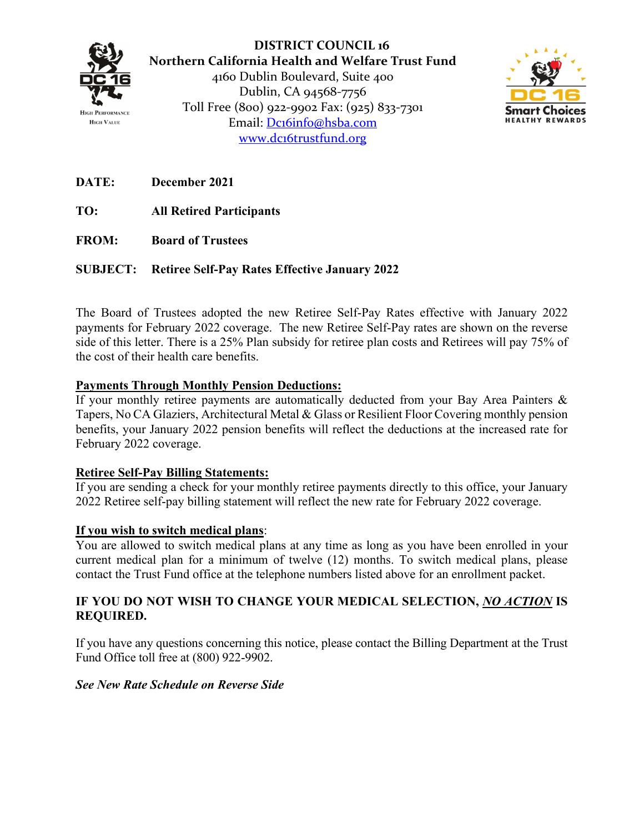

**DISTRICT COUNCIL 16 Northern California Health and Welfare Trust Fund** 4160 Dublin Boulevard, Suite 400 Dublin, CA 94568-7756 Toll Free (800) 922-9902 Fax: (925) 833-7301 Email: [Dc16info@hsba.com](mailto:Dc16info@hsba.com) [www.dc16trustfund.org](http://www.dc16trustfund.org/)



**DATE: December 2021**

**TO: All Retired Participants**

**FROM: Board of Trustees**

### **SUBJECT: Retiree Self-Pay Rates Effective January 2022**

The Board of Trustees adopted the new Retiree Self-Pay Rates effective with January 2022 payments for February 2022 coverage. The new Retiree Self-Pay rates are shown on the reverse side of this letter. There is a 25% Plan subsidy for retiree plan costs and Retirees will pay 75% of the cost of their health care benefits.

### **Payments Through Monthly Pension Deductions:**

If your monthly retiree payments are automatically deducted from your Bay Area Painters & Tapers, No CA Glaziers, Architectural Metal & Glass or Resilient Floor Covering monthly pension benefits, your January 2022 pension benefits will reflect the deductions at the increased rate for February 2022 coverage.

### **Retiree Self-Pay Billing Statements:**

If you are sending a check for your monthly retiree payments directly to this office, your January 2022 Retiree self-pay billing statement will reflect the new rate for February 2022 coverage.

### **If you wish to switch medical plans**:

You are allowed to switch medical plans at any time as long as you have been enrolled in your current medical plan for a minimum of twelve (12) months. To switch medical plans, please contact the Trust Fund office at the telephone numbers listed above for an enrollment packet.

### **IF YOU DO NOT WISH TO CHANGE YOUR MEDICAL SELECTION,** *NO ACTION* **IS REQUIRED.**

If you have any questions concerning this notice, please contact the Billing Department at the Trust Fund Office toll free at (800) 922-9902.

### *See New Rate Schedule on Reverse Side*